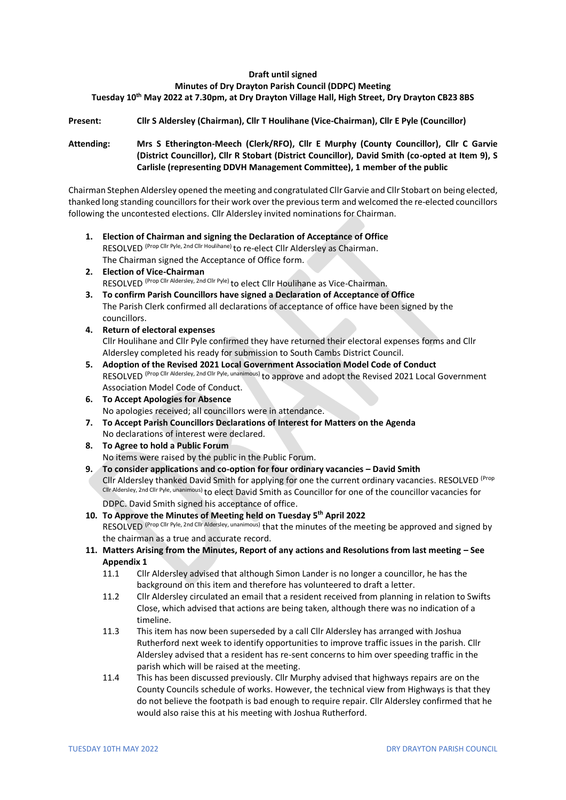### **Draft until signed**

#### **Minutes of Dry Drayton Parish Council (DDPC) Meeting**

### **Tuesday 10th May 2022 at 7.30pm, at Dry Drayton Village Hall, High Street, Dry Drayton CB23 8BS**

### **Present: Cllr S Aldersley (Chairman), Cllr T Houlihane (Vice-Chairman), Cllr E Pyle (Councillor)**

### **Attending: Mrs S Etherington-Meech (Clerk/RFO), Cllr E Murphy (County Councillor), Cllr C Garvie (District Councillor), Cllr R Stobart (District Councillor), David Smith (co-opted at Item 9), S Carlisle (representing DDVH Management Committee), 1 member of the public**

Chairman Stephen Aldersley opened the meeting and congratulated Cllr Garvie and Cllr Stobart on being elected, thanked long standing councillors for their work over the previous term and welcomed the re-elected councillors following the uncontested elections. Cllr Aldersley invited nominations for Chairman.

- **1. Election of Chairman and signing the Declaration of Acceptance of Office**  RESOLVED (Prop Cllr Pyle, 2nd Cllr Houlihane) to re-elect Cllr Aldersley as Chairman. The Chairman signed the Acceptance of Office form.
- **2. Election of Vice-Chairman**  RESOLVED (Prop Cllr Aldersley, 2nd Cllr Pyle) to elect Cllr Houlihane as Vice-Chairman.
- **3. To confirm Parish Councillors have signed a Declaration of Acceptance of Office** The Parish Clerk confirmed all declarations of acceptance of office have been signed by the councillors.
- **4. Return of electoral expenses** Cllr Houlihane and Cllr Pyle confirmed they have returned their electoral expenses forms and Cllr Aldersley completed his ready for submission to South Cambs District Council.
- **5. Adoption of the Revised 2021 Local Government Association Model Code of Conduct**  RESOLVED (Prop Cllr Aldersley, 2nd Cllr Pyle, unanimous) to approve and adopt the Revised 2021 Local Government Association Model Code of Conduct.
- **6. To Accept Apologies for Absence** No apologies received; all councillors were in attendance.
- **7. To Accept Parish Councillors Declarations of Interest for Matters on the Agenda** No declarations of interest were declared.
- **8. To Agree to hold a Public Forum** No items were raised by the public in the Public Forum.
- **9. To consider applications and co-option for four ordinary vacancies – David Smith** Cllr Aldersley thanked David Smith for applying for one the current ordinary vacancies. RESOLVED (Prop Cllr Aldersley, 2nd Cllr Pyle, unanimous) to elect David Smith as Councillor for one of the councillor vacancies for DDPC. David Smith signed his acceptance of office.
- **10. To Approve the Minutes of Meeting held on Tuesday 5th April 2022** RESOLVED (Prop Cllr Pyle, 2nd Cllr Aldersley, unanimous) that the minutes of the meeting be approved and signed by the chairman as a true and accurate record.
- **11. Matters Arising from the Minutes, Report of any actions and Resolutions from last meeting – See Appendix 1**
	- 11.1 Cllr Aldersley advised that although Simon Lander is no longer a councillor, he has the background on this item and therefore has volunteered to draft a letter.
	- 11.2 Cllr Aldersley circulated an email that a resident received from planning in relation to Swifts Close, which advised that actions are being taken, although there was no indication of a timeline.
	- 11.3 This item has now been superseded by a call Cllr Aldersley has arranged with Joshua Rutherford next week to identify opportunities to improve traffic issues in the parish. Cllr Aldersley advised that a resident has re-sent concerns to him over speeding traffic in the parish which will be raised at the meeting.
	- 11.4 This has been discussed previously. Cllr Murphy advised that highways repairs are on the County Councils schedule of works. However, the technical view from Highways is that they do not believe the footpath is bad enough to require repair. Cllr Aldersley confirmed that he would also raise this at his meeting with Joshua Rutherford.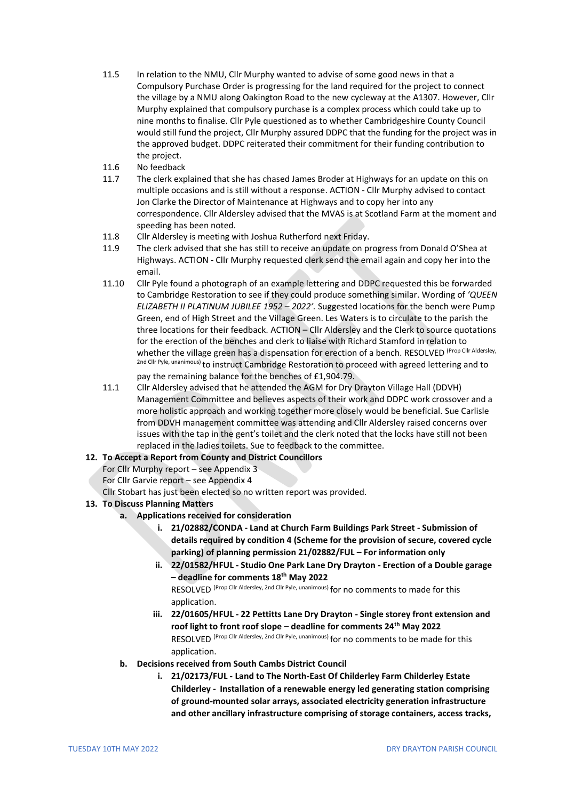- 11.5 In relation to the NMU, Cllr Murphy wanted to advise of some good news in that a Compulsory Purchase Order is progressing for the land required for the project to connect the village by a NMU along Oakington Road to the new cycleway at the A1307. However, Cllr Murphy explained that compulsory purchase is a complex process which could take up to nine months to finalise. Cllr Pyle questioned as to whether Cambridgeshire County Council would still fund the project, Cllr Murphy assured DDPC that the funding for the project was in the approved budget. DDPC reiterated their commitment for their funding contribution to the project.
- 11.6 No feedback
- 11.7 The clerk explained that she has chased James Broder at Highways for an update on this on multiple occasions and is still without a response. ACTION - Cllr Murphy advised to contact Jon Clarke the Director of Maintenance at Highways and to copy her into any correspondence. Cllr Aldersley advised that the MVAS is at Scotland Farm at the moment and speeding has been noted.
- 11.8 Cllr Aldersley is meeting with Joshua Rutherford next Friday.
- 11.9 The clerk advised that she has still to receive an update on progress from Donald O'Shea at Highways. ACTION - Cllr Murphy requested clerk send the email again and copy her into the email.
- 11.10 Cllr Pyle found a photograph of an example lettering and DDPC requested this be forwarded to Cambridge Restoration to see if they could produce something similar. Wording of *'QUEEN ELIZABETH II PLATINUM JUBILEE 1952 – 2022'.* Suggested locations for the bench were Pump Green, end of High Street and the Village Green. Les Waters is to circulate to the parish the three locations for their feedback. ACTION – Cllr Aldersley and the Clerk to source quotations for the erection of the benches and clerk to liaise with Richard Stamford in relation to whether the village green has a dispensation for erection of a bench. RESOLVED (Prop Cllr Aldersley, 2nd Cllr Pyle, unanimous) to instruct Cambridge Restoration to proceed with agreed lettering and to pay the remaining balance for the benches of £1,904.79.
- 11.1 Cllr Aldersley advised that he attended the AGM for Dry Drayton Village Hall (DDVH) Management Committee and believes aspects of their work and DDPC work crossover and a more holistic approach and working together more closely would be beneficial. Sue Carlisle from DDVH management committee was attending and Cllr Aldersley raised concerns over issues with the tap in the gent's toilet and the clerk noted that the locks have still not been replaced in the ladies toilets. Sue to feedback to the committee.

### **12. To Accept a Report from County and District Councillors**

For Cllr Murphy report – see Appendix 3

For Cllr Garvie report – see Appendix 4

Cllr Stobart has just been elected so no written report was provided.

### **13. To Discuss Planning Matters**

- **a. Applications received for consideration**
	- **i. 21/02882/CONDA - Land at Church Farm Buildings Park Street - Submission of details required by condition 4 (Scheme for the provision of secure, covered cycle parking) of planning permission 21/02882/FUL – For information only**
	- **ii. 22/01582/HFUL - Studio One Park Lane Dry Drayton - Erection of a Double garage – deadline for comments 18th May 2022**

RESOLVED (Prop Cllr Aldersley, 2nd Cllr Pyle, unanimous) for no comments to made for this application.

- **iii. 22/01605/HFUL - 22 Pettitts Lane Dry Drayton - Single storey front extension and roof light to front roof slope – deadline for comments 24th May 2022** RESOLVED (Prop Cllr Aldersley, 2nd Cllr Pyle, unanimous) for no comments to be made for this application.
- **b. Decisions received from South Cambs District Council** 
	- **i. 21/02173/FUL - Land to The North-East Of Childerley Farm Childerley Estate Childerley - Installation of a renewable energy led generating station comprising of ground-mounted solar arrays, associated electricity generation infrastructure and other ancillary infrastructure comprising of storage containers, access tracks,**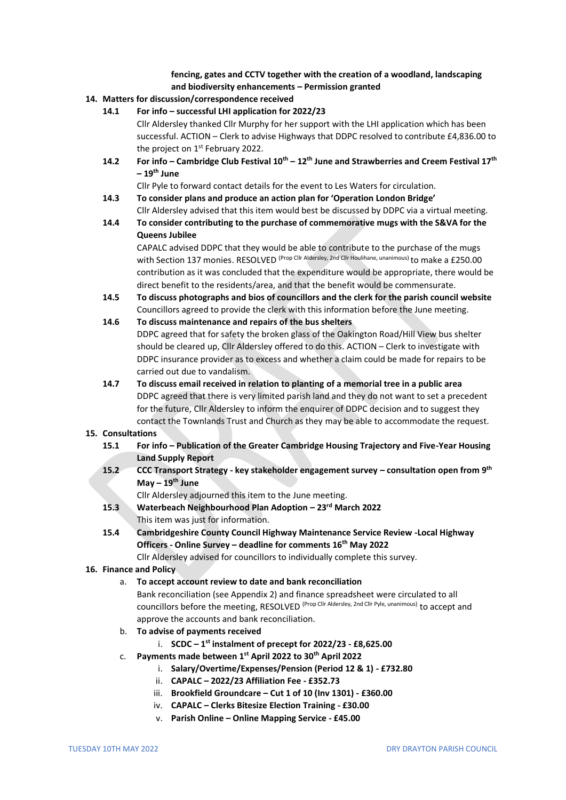### **fencing, gates and CCTV together with the creation of a woodland, landscaping and biodiversity enhancements – Permission granted**

### **14. Matters for discussion/correspondence received**

**14.1 For info – successful LHI application for 2022/23**

Cllr Aldersley thanked Cllr Murphy for her support with the LHI application which has been successful. ACTION – Clerk to advise Highways that DDPC resolved to contribute £4,836.00 to the project on  $1<sup>st</sup>$  February 2022.

**14.2 For info – Cambridge Club Festival 10th – 12th June and Strawberries and Creem Festival 17th – 19th June**

Cllr Pyle to forward contact details for the event to Les Waters for circulation.

- **14.3 To consider plans and produce an action plan for 'Operation London Bridge'** Cllr Aldersley advised that this item would best be discussed by DDPC via a virtual meeting.
- **14.4 To consider contributing to the purchase of commemorative mugs with the S&VA for the Queens Jubilee**

CAPALC advised DDPC that they would be able to contribute to the purchase of the mugs with Section 137 monies. RESOLVED (Prop Cllr Aldersley, 2nd Cllr Houlihane, unanimous) to make a £250.00 contribution as it was concluded that the expenditure would be appropriate, there would be direct benefit to the residents/area, and that the benefit would be commensurate.

**14.5 To discuss photographs and bios of councillors and the clerk for the parish council website** Councillors agreed to provide the clerk with this information before the June meeting.

#### **14.6 To discuss maintenance and repairs of the bus shelters**

DDPC agreed that for safety the broken glass of the Oakington Road/Hill View bus shelter should be cleared up, Cllr Aldersley offered to do this. ACTION – Clerk to investigate with DDPC insurance provider as to excess and whether a claim could be made for repairs to be carried out due to vandalism.

**14.7 To discuss email received in relation to planting of a memorial tree in a public area** DDPC agreed that there is very limited parish land and they do not want to set a precedent for the future, Cllr Aldersley to inform the enquirer of DDPC decision and to suggest they contact the Townlands Trust and Church as they may be able to accommodate the request.

#### **15. Consultations**

- **15.1 For info – Publication of the Greater Cambridge Housing Trajectory and Five-Year Housing Land Supply Report**
- **15.2 CCC Transport Strategy - key stakeholder engagement survey – consultation open from 9th May – 19th June**

Cllr Aldersley adjourned this item to the June meeting.

- **15.3 Waterbeach Neighbourhood Plan Adoption – 23rd March 2022** This item was just for information.
- **15.4 Cambridgeshire County Council Highway Maintenance Service Review -Local Highway Officers - Online Survey – deadline for comments 16th May 2022**

Cllr Aldersley advised for councillors to individually complete this survey.

### **16. Finance and Policy**

a. **To accept account review to date and bank reconciliation** 

Bank reconciliation (see Appendix 2) and finance spreadsheet were circulated to all councillors before the meeting, RESOLVED<sup>(Prop Cllr Aldersley, 2nd Cllr Pyle, unanimous)</sup> to accept and approve the accounts and bank reconciliation.

- b. **To advise of payments received** 
	- i. **SCDC – 1 st instalment of precept for 2022/23 - £8,625.00**
- c. **Payments made between 1st April 2022 to 30th April 2022**
	- i. **Salary/Overtime/Expenses/Pension (Period 12 & 1) - £732.80**
	- ii. **CAPALC – 2022/23 Affiliation Fee - £352.73**
	- iii. **Brookfield Groundcare – Cut 1 of 10 (Inv 1301) - £360.00**
	- iv. **CAPALC – Clerks Bitesize Election Training - £30.00**
	- v. **Parish Online – Online Mapping Service - £45.00**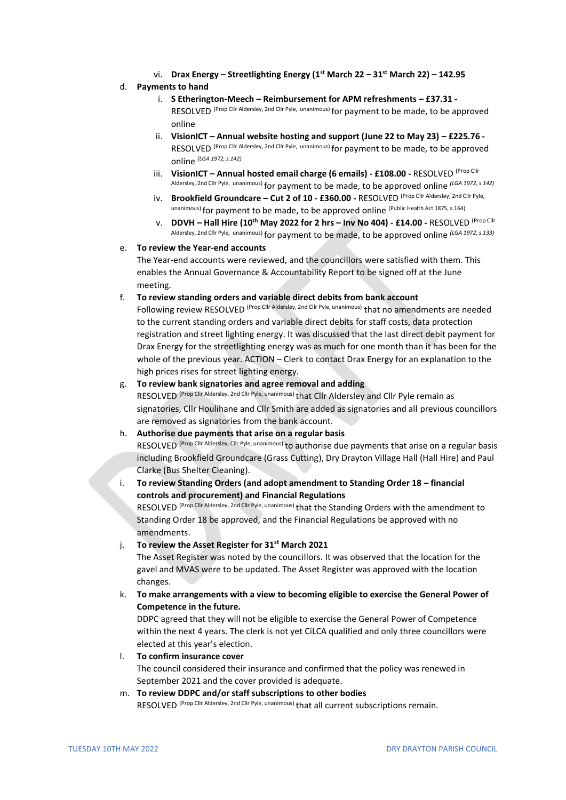vi. **Drax Energy – Streetlighting Energy (1st March 22 – 31st March 22) – 142.95**

#### d. **Payments to hand**

- i. **S Etherington-Meech – Reimbursement for APM refreshments – £37.31 -** RFSOI VED (Prop Cllr Aldersley, 2nd Cllr Pyle, unanimous) for payment to be made, to be approved online
- ii. **VisionICT – Annual website hosting and support (June 22 to May 23) – £225.76 -** RESOLVED (Prop Cllr Aldersley, 2nd Cllr Pyle, unanimous) for payment to be made, to be approved online *(LGA 1972, s.142)*
- iii. **VisionICT – Annual hosted email charge (6 emails) - £108.00 -** RESOLVED (Prop Cllr Aldersley, 2nd Cllr Pyle, unanimous) for payment to be made, to be approved online *(LGA 1972, s.142)*
- iv. **Brookfield Groundcare – Cut 2 of 10 - £360.00 -** RESOLVED (Prop Cllr Aldersley, 2nd Cllr Pyle, unanimous) for payment to be made, to be approved online (Public Health Act 1875, s.164)
- v. **DDVH – Hall Hire (10th May 2022 for 2 hrs – Inv No 404) - £14.00 -** RESOLVED (Prop Cllr Aldersley, 2nd Cllr Pyle, unanimous) for payment to be made, to be approved online *(LGA 1972, s.133)*

#### e. **To review the Year-end accounts**

The Year-end accounts were reviewed, and the councillors were satisfied with them. This enables the Annual Governance & Accountability Report to be signed off at the June meeting.

f. **To review standing orders and variable direct debits from bank account** 

Following review RESOLVED (Prop Cllr Aldersley, 2nd Cllr Pyle, unanimous) that no amendments are needed to the current standing orders and variable direct debits for staff costs, data protection registration and street lighting energy. It was discussed that the last direct debit payment for Drax Energy for the streetlighting energy was as much for one month than it has been for the whole of the previous year. ACTION – Clerk to contact Drax Energy for an explanation to the high prices rises for street lighting energy.

#### g. **To review bank signatories and agree removal and adding**

RESOLVED (Prop Cllr Aldersley, 2nd Cllr Pyle, unanimous) that Cllr Aldersley and Cllr Pyle remain as signatories, Cllr Houlihane and Cllr Smith are added as signatories and all previous councillors are removed as signatories from the bank account.

### h. **Authorise due payments that arise on a regular basis**

RFSOLVED (Prop Cllr Aldersley, Cllr Pyle, unanimous) to authorise due payments that arise on a regular basis including Brookfield Groundcare (Grass Cutting), Dry Drayton Village Hall (Hall Hire) and Paul Clarke (Bus Shelter Cleaning).

i. **To review Standing Orders (and adopt amendment to Standing Order 18 – financial controls and procurement) and Financial Regulations**

RESOLVED (Prop Cllr Aldersley, 2nd Cllr Pyle, unanimous) that the Standing Orders with the amendment to Standing Order 18 be approved, and the Financial Regulations be approved with no amendments.

j. **To review the Asset Register for 31st March 2021**

The Asset Register was noted by the councillors. It was observed that the location for the gavel and MVAS were to be updated. The Asset Register was approved with the location changes.

k. **To make arrangements with a view to becoming eligible to exercise the General Power of Competence in the future.**

DDPC agreed that they will not be eligible to exercise the General Power of Competence within the next 4 years. The clerk is not yet CiLCA qualified and only three councillors were elected at this year's election.

- l. **To confirm insurance cover** The council considered their insurance and confirmed that the policy was renewed in September 2021 and the cover provided is adequate.
- m. **To review DDPC and/or staff subscriptions to other bodies** RFSOI VFD (Prop Cllr Aldersley, 2nd Cllr Pyle, unanimous) that all current subscriptions remain.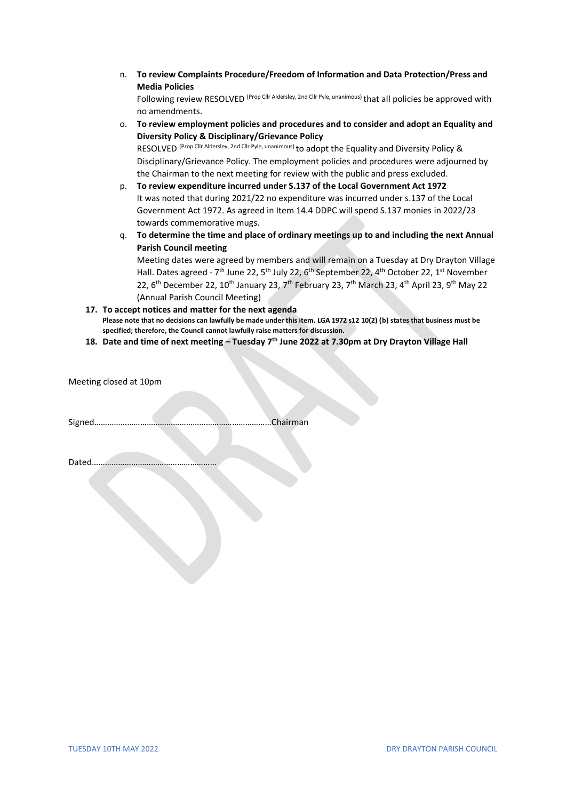n. **To review Complaints Procedure/Freedom of Information and Data Protection/Press and Media Policies**

Following review RESOLVED<sup> (Prop Cllr Aldersley, 2nd Cllr Pyle, unanimous)</sup> that all policies be approved with no amendments.

o. **To review employment policies and procedures and to consider and adopt an Equality and Diversity Policy & Disciplinary/Grievance Policy**

RESOLVED (Prop Cllr Aldersley, 2nd Cllr Pyle, unanimous) to adopt the Equality and Diversity Policy & Disciplinary/Grievance Policy. The employment policies and procedures were adjourned by the Chairman to the next meeting for review with the public and press excluded.

- p. **To review expenditure incurred under S.137 of the Local Government Act 1972** It was noted that during 2021/22 no expenditure was incurred under s.137 of the Local Government Act 1972. As agreed in Item 14.4 DDPC will spend S.137 monies in 2022/23 towards commemorative mugs.
- q. **To determine the time and place of ordinary meetings up to and including the next Annual Parish Council meeting**

Meeting dates were agreed by members and will remain on a Tuesday at Dry Drayton Village Hall. Dates agreed - 7<sup>th</sup> June 22, 5<sup>th</sup> July 22, 6<sup>th</sup> September 22, 4<sup>th</sup> October 22, 1<sup>st</sup> November 22, 6<sup>th</sup> December 22, 10<sup>th</sup> January 23, 7<sup>th</sup> February 23, 7<sup>th</sup> March 23, 4<sup>th</sup> April 23, 9<sup>th</sup> May 22 (Annual Parish Council Meeting)

- **17. To accept notices and matter for the next agenda Please note that no decisions can lawfully be made under this item. LGA 1972 s12 10(2) (b) states that business must be specified; therefore, the Council cannot lawfully raise matters for discussion.**
- **18. Date and time of next meeting – Tuesday 7th June 2022 at 7.30pm at Dry Drayton Village Hall**

Meeting closed at 10pm

Signed………………………………………………………………………Chairman

Dated…………………………………………………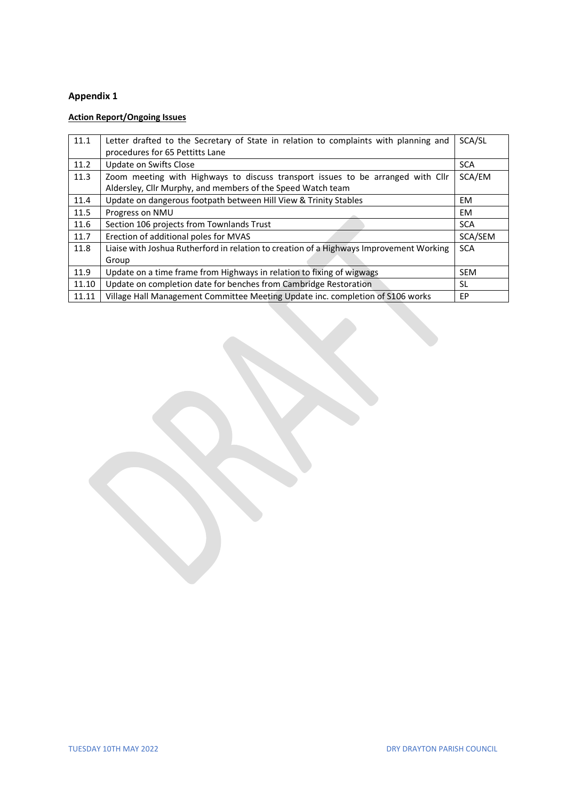# **Appendix 1**

# **Action Report/Ongoing Issues**

| 11.1  | Letter drafted to the Secretary of State in relation to complaints with planning and<br>procedures for 65 Pettitts Lane | SCA/SL     |
|-------|-------------------------------------------------------------------------------------------------------------------------|------------|
| 11.2  | Update on Swifts Close                                                                                                  | <b>SCA</b> |
| 11.3  | Zoom meeting with Highways to discuss transport issues to be arranged with Cllr                                         | SCA/EM     |
|       | Aldersley, Cllr Murphy, and members of the Speed Watch team                                                             |            |
| 11.4  | Update on dangerous footpath between Hill View & Trinity Stables                                                        | EM         |
| 11.5  | Progress on NMU                                                                                                         | EM         |
| 11.6  | Section 106 projects from Townlands Trust                                                                               | <b>SCA</b> |
| 11.7  | Erection of additional poles for MVAS                                                                                   | SCA/SEM    |
| 11.8  | Liaise with Joshua Rutherford in relation to creation of a Highways Improvement Working                                 | <b>SCA</b> |
|       | Group                                                                                                                   |            |
| 11.9  | Update on a time frame from Highways in relation to fixing of wigwags                                                   | <b>SEM</b> |
| 11.10 | Update on completion date for benches from Cambridge Restoration                                                        | SL.        |
| 11.11 | Village Hall Management Committee Meeting Update inc. completion of \$106 works                                         | EP.        |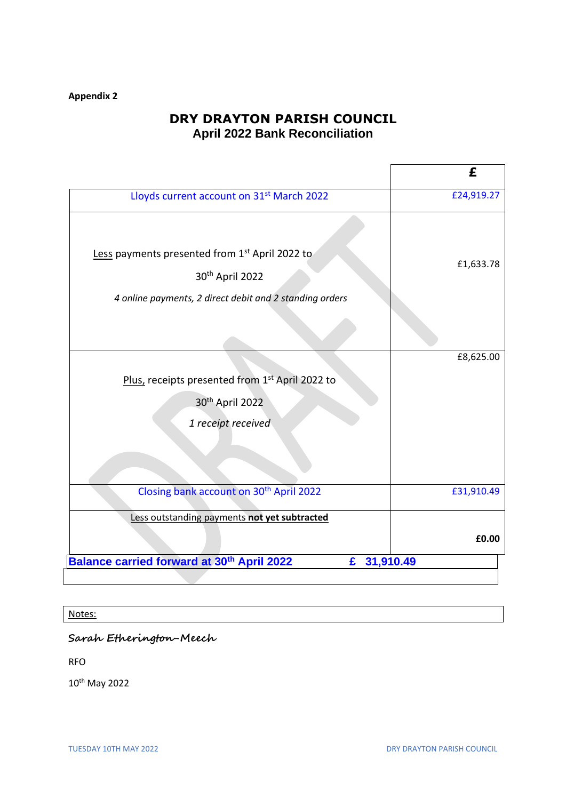# **Appendix 2**

# **DRY DRAYTON PARISH COUNCIL April 2022 Bank Reconciliation**

|                                                                                                                                                      | £          |  |  |
|------------------------------------------------------------------------------------------------------------------------------------------------------|------------|--|--|
| Lloyds current account on 31 <sup>st</sup> March 2022                                                                                                | £24,919.27 |  |  |
| Less payments presented from 1 <sup>st</sup> April 2022 to<br>30 <sup>th</sup> April 2022<br>4 online payments, 2 direct debit and 2 standing orders | £1,633.78  |  |  |
|                                                                                                                                                      | £8,625.00  |  |  |
| Plus, receipts presented from 1st April 2022 to                                                                                                      |            |  |  |
| 30 <sup>th</sup> April 2022                                                                                                                          |            |  |  |
| 1 receipt received                                                                                                                                   |            |  |  |
|                                                                                                                                                      |            |  |  |
| Closing bank account on 30 <sup>th</sup> April 2022                                                                                                  | £31,910.49 |  |  |
| Less outstanding payments not yet subtracted                                                                                                         |            |  |  |
|                                                                                                                                                      | £0.00      |  |  |
| <b>Balance carried forward at 30th April 2022</b><br>31,910.49<br>£                                                                                  |            |  |  |
|                                                                                                                                                      |            |  |  |

# Notes:

# **Sarah Etherington-Meech**

RFO

10th May 2022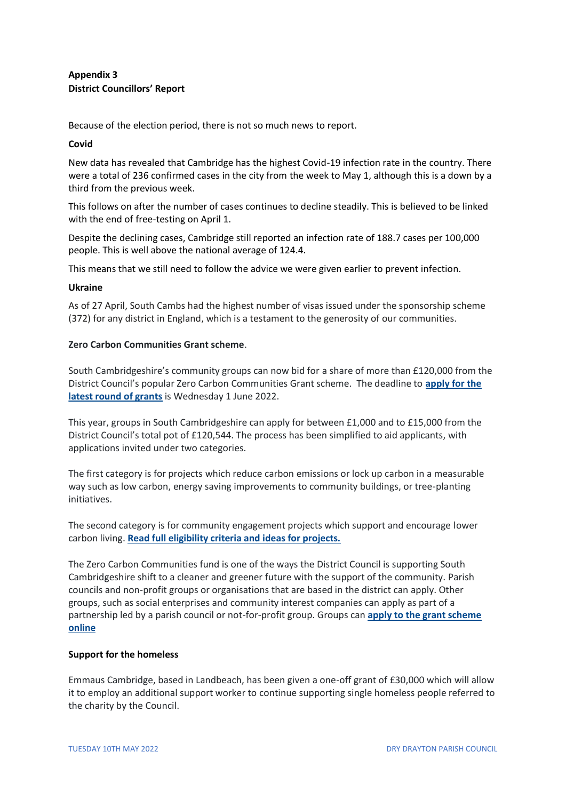## **Appendix 3 District Councillors' Report**

Because of the election period, there is not so much news to report.

### **Covid**

New data has revealed that Cambridge has the highest Covid-19 infection rate in the country. There were a total of 236 confirmed cases in the city from the week to May 1, although this is a down by a third from the previous week.

This follows on after the number of cases continues to decline steadily. This is believed to be linked with the end of free-testing on April 1.

Despite the declining cases, Cambridge still reported an infection rate of 188.7 cases per 100,000 people. This is well above the national average of 124.4.

This means that we still need to follow the advice we were given earlier to prevent infection.

#### **Ukraine**

As of 27 April, South Cambs had the highest number of visas issued under the sponsorship scheme (372) for any district in England, which is a testament to the generosity of our communities.

### **Zero Carbon Communities Grant scheme**.

South Cambridgeshire's community groups can now bid for a share of more than £120,000 from the District Council's popular Zero Carbon Communities Grant scheme. The deadline to **apply for the latest round of grants** is Wednesday 1 June 2022.

This year, groups in South Cambridgeshire can apply for between £1,000 and to £15,000 from the District Council's total pot of £120,544. The process has been simplified to aid applicants, with applications invited under two categories.

The first category is for projects which reduce carbon emissions or lock up carbon in a measurable way such as low carbon, energy saving improvements to community buildings, or tree-planting initiatives.

The second category is for community engagement projects which support and encourage lower carbon living. **Read full eligibility criteria and ideas for projects.**

The Zero Carbon Communities fund is one of the ways the District Council is supporting South Cambridgeshire shift to a cleaner and greener future with the support of the community. Parish councils and non-profit groups or organisations that are based in the district can apply. Other groups, such as social enterprises and community interest companies can apply as part of a partnership led by a parish council or not-for-profit group. Groups can **apply to the grant scheme online**

### **Support for the homeless**

Emmaus Cambridge, based in Landbeach, has been given a one-off grant of £30,000 which will allow it to employ an additional support worker to continue supporting single homeless people referred to the charity by the Council.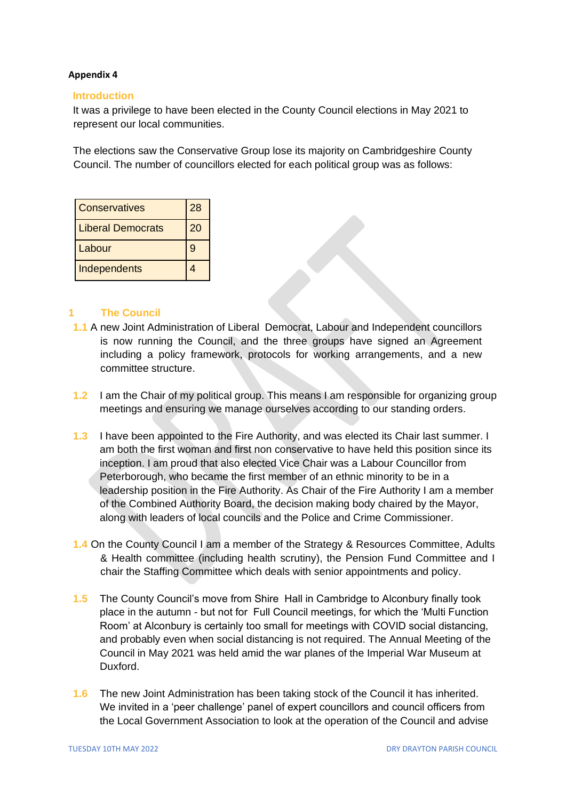## **Appendix 4**

## **Introduction**

It was a privilege to have been elected in the County Council elections in May 2021 to represent our local communities.

The elections saw the Conservative Group lose its majority on Cambridgeshire County Council. The number of councillors elected for each political group was as follows:

| <b>Conservatives</b>     | 28 |
|--------------------------|----|
| <b>Liberal Democrats</b> | 20 |
| Labour                   | 9  |
| Independents             |    |

## **1 The Council**

- **1.1** A new Joint Administration of Liberal Democrat, Labour and Independent councillors is now running the Council, and the three groups have signed an Agreement including a policy framework, protocols for working arrangements, and a new committee structure.
- **1.2** I am the Chair of my political group. This means I am responsible for organizing group meetings and ensuring we manage ourselves according to our standing orders.
- **1.3** I have been appointed to the Fire Authority, and was elected its Chair last summer. I am both the first woman and first non conservative to have held this position since its inception. I am proud that also elected Vice Chair was a Labour Councillor from Peterborough, who became the first member of an ethnic minority to be in a leadership position in the Fire Authority. As Chair of the Fire Authority I am a member of the Combined Authority Board, the decision making body chaired by the Mayor, along with leaders of local councils and the Police and Crime Commissioner.
- **1.4** On the County Council I am a member of the Strategy & Resources Committee, Adults & Health committee (including health scrutiny), the Pension Fund Committee and I chair the Staffing Committee which deals with senior appointments and policy.
- **1.5** The County Council's move from Shire Hall in Cambridge to Alconbury finally took place in the autumn - but not for Full Council meetings, for which the 'Multi Function Room' at Alconbury is certainly too small for meetings with COVID social distancing, and probably even when social distancing is not required. The Annual Meeting of the Council in May 2021 was held amid the war planes of the Imperial War Museum at Duxford.
- **1.6** The new Joint Administration has been taking stock of the Council it has inherited. We invited in a 'peer challenge' panel of expert councillors and council officers from the Local Government Association to look at the operation of the Council and advise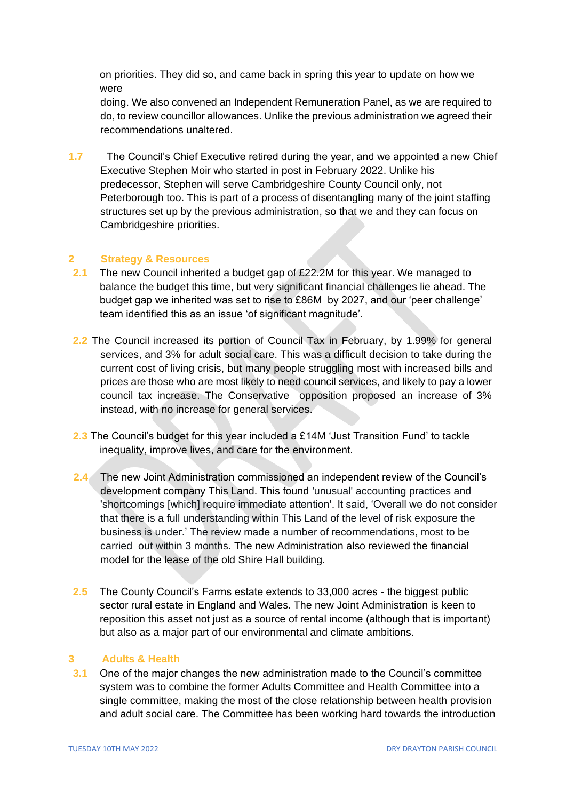on priorities. They did so, and came back in spring this year to update on how we were

doing. We also convened an Independent Remuneration Panel, as we are required to do, to review councillor allowances. Unlike the previous administration we agreed their recommendations unaltered.

**1.7** The Council's Chief Executive retired during the year, and we appointed a new Chief Executive Stephen Moir who started in post in February 2022. Unlike his predecessor, Stephen will serve Cambridgeshire County Council only, not Peterborough too. This is part of a process of disentangling many of the joint staffing structures set up by the previous administration, so that we and they can focus on Cambridgeshire priorities.

## **2 Strategy & Resources**

- **2.1** The new Council inherited a budget gap of £22.2M for this year. We managed to balance the budget this time, but very significant financial challenges lie ahead. The budget gap we inherited was set to rise to £86M by 2027, and our 'peer challenge' team identified this as an issue 'of significant magnitude'.
- **2.2** The Council increased its portion of Council Tax in February, by 1.99% for general services, and 3% for adult social care. This was a difficult decision to take during the current cost of living crisis, but many people struggling most with increased bills and prices are those who are most likely to need council services, and likely to pay a lower council tax increase. The Conservative opposition proposed an increase of 3% instead, with no increase for general services.
- **2.3** The Council's budget for this year included a £14M 'Just Transition Fund' to tackle inequality, improve lives, and care for the environment.
- **2.4** The new Joint Administration commissioned an independent review of the Council's development company This Land. This found 'unusual' accounting practices and 'shortcomings [which] require immediate attention'. It said, 'Overall we do not consider that there is a full understanding within This Land of the level of risk exposure the business is under.' The review made a number of recommendations, most to be carried out within 3 months. The new Administration also reviewed the financial model for the lease of the old Shire Hall building.
- **2.5** The County Council's Farms estate extends to 33,000 acres the biggest public sector rural estate in England and Wales. The new Joint Administration is keen to reposition this asset not just as a source of rental income (although that is important) but also as a major part of our environmental and climate ambitions.

### **3 Adults & Health**

**3.1** One of the major changes the new administration made to the Council's committee system was to combine the former Adults Committee and Health Committee into a single committee, making the most of the close relationship between health provision and adult social care. The Committee has been working hard towards the introduction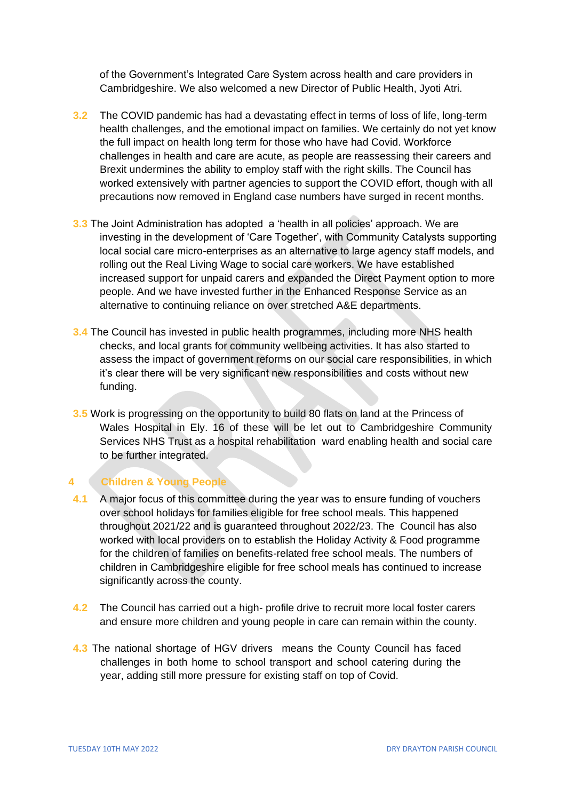of the Government's Integrated Care System across health and care providers in Cambridgeshire. We also welcomed a new Director of Public Health, Jyoti Atri.

- **3.2** The COVID pandemic has had a devastating effect in terms of loss of life, long-term health challenges, and the emotional impact on families. We certainly do not yet know the full impact on health long term for those who have had Covid. Workforce challenges in health and care are acute, as people are reassessing their careers and Brexit undermines the ability to employ staff with the right skills. The Council has worked extensively with partner agencies to support the COVID effort, though with all precautions now removed in England case numbers have surged in recent months.
- **3.3** The Joint Administration has adopted a 'health in all policies' approach. We are investing in the development of 'Care Together', with Community Catalysts supporting local social care micro-enterprises as an alternative to large agency staff models, and rolling out the Real Living Wage to social care workers. We have established increased support for unpaid carers and expanded the Direct Payment option to more people. And we have invested further in the Enhanced Response Service as an alternative to continuing reliance on over stretched A&E departments.
- **3.4** The Council has invested in public health programmes, including more NHS health checks, and local grants for community wellbeing activities. It has also started to assess the impact of government reforms on our social care responsibilities, in which it's clear there will be very significant new responsibilities and costs without new funding.
- **3.5** Work is progressing on the opportunity to build 80 flats on land at the Princess of Wales Hospital in Ely. 16 of these will be let out to Cambridgeshire Community Services NHS Trust as a hospital rehabilitation ward enabling health and social care to be further integrated.

## **4 Children & Young People**

- **4.1** A major focus of this committee during the year was to ensure funding of vouchers over school holidays for families eligible for free school meals. This happened throughout 2021/22 and is guaranteed throughout 2022/23. The Council has also worked with local providers on to establish the Holiday Activity & Food programme for the children of families on benefits-related free school meals. The numbers of children in Cambridgeshire eligible for free school meals has continued to increase significantly across the county.
- **4.2** The Council has carried out a high- profile drive to recruit more local foster carers and ensure more children and young people in care can remain within the county.
- **4.3** The national shortage of HGV drivers means the County Council has faced challenges in both home to school transport and school catering during the year, adding still more pressure for existing staff on top of Covid.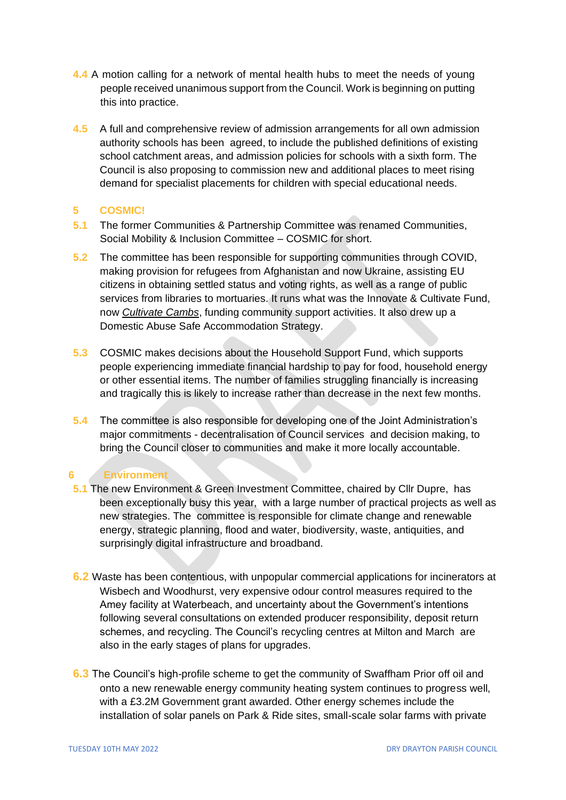- **4.4** A motion calling for a network of mental health hubs to meet the needs of young people received unanimous support from the Council. Work is beginning on putting this into practice.
- **4.5** A full and comprehensive review of admission arrangements for all own admission authority schools has been agreed, to include the published definitions of existing school catchment areas, and admission policies for schools with a sixth form. The Council is also proposing to commission new and additional places to meet rising demand for specialist placements for children with special educational needs.

## **5 COSMIC!**

- **5.1** The former Communities & Partnership Committee was renamed Communities, Social Mobility & Inclusion Committee – COSMIC for short.
- **5.2** The committee has been responsible for supporting communities through COVID, making provision for refugees from Afghanistan and now Ukraine, assisting EU citizens in obtaining settled status and voting rights, as well as a range of public services from libraries to mortuaries. It runs what was the Innovate & Cultivate Fund, now *Cultivate Cambs*, funding community support activities. It also drew up a Domestic Abuse Safe Accommodation Strategy.
- **5.3** COSMIC makes decisions about the Household Support Fund, which supports people experiencing immediate financial hardship to pay for food, household energy or other essential items. The number of families struggling financially is increasing and tragically this is likely to increase rather than decrease in the next few months.
- **5.4** The committee is also responsible for developing one of the Joint Administration's major commitments - decentralisation of Council services and decision making, to bring the Council closer to communities and make it more locally accountable.

## **6 Environment**

- **5.1** The new Environment & Green Investment Committee, chaired by Cllr Dupre, has been exceptionally busy this year, with a large number of practical projects as well as new strategies. The committee is responsible for climate change and renewable energy, strategic planning, flood and water, biodiversity, waste, antiquities, and surprisingly digital infrastructure and broadband.
- **6.2** Waste has been contentious, with unpopular commercial applications for incinerators at Wisbech and Woodhurst, very expensive odour control measures required to the Amey facility at Waterbeach, and uncertainty about the Government's intentions following several consultations on extended producer responsibility, deposit return schemes, and recycling. The Council's recycling centres at Milton and March are also in the early stages of plans for upgrades.
- **6.3** The Council's high-profile scheme to get the community of Swaffham Prior off oil and onto a new renewable energy community heating system continues to progress well, with a £3.2M Government grant awarded. Other energy schemes include the installation of solar panels on Park & Ride sites, small-scale solar farms with private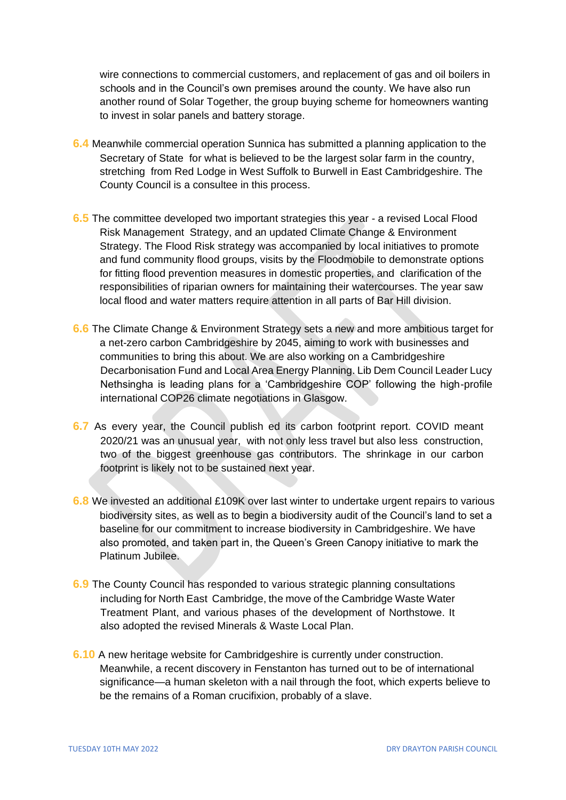wire connections to commercial customers, and replacement of gas and oil boilers in schools and in the Council's own premises around the county. We have also run another round of Solar Together, the group buying scheme for homeowners wanting to invest in solar panels and battery storage.

- **6.4** Meanwhile commercial operation Sunnica has submitted a planning application to the Secretary of State for what is believed to be the largest solar farm in the country, stretching from Red Lodge in West Suffolk to Burwell in East Cambridgeshire. The County Council is a consultee in this process.
- **6.5** The committee developed two important strategies this year a revised Local Flood Risk Management Strategy, and an updated Climate Change & Environment Strategy. The Flood Risk strategy was accompanied by local initiatives to promote and fund community flood groups, visits by the Floodmobile to demonstrate options for fitting flood prevention measures in domestic properties, and clarification of the responsibilities of riparian owners for maintaining their watercourses. The year saw local flood and water matters require attention in all parts of Bar Hill division.
- **6.6** The Climate Change & Environment Strategy sets a new and more ambitious target for a net-zero carbon Cambridgeshire by 2045, aiming to work with businesses and communities to bring this about. We are also working on a Cambridgeshire Decarbonisation Fund and Local Area Energy Planning. Lib Dem Council Leader Lucy Nethsingha is leading plans for a 'Cambridgeshire COP' following the high-profile international COP26 climate negotiations in Glasgow.
- **6.7** As every year, the Council publish ed its carbon footprint report. COVID meant 2020/21 was an unusual year, with not only less travel but also less construction, two of the biggest greenhouse gas contributors. The shrinkage in our carbon footprint is likely not to be sustained next year.
- **6.8** We invested an additional £109K over last winter to undertake urgent repairs to various biodiversity sites, as well as to begin a biodiversity audit of the Council's land to set a baseline for our commitment to increase biodiversity in Cambridgeshire. We have also promoted, and taken part in, the Queen's Green Canopy initiative to mark the Platinum Jubilee.
- **6.9** The County Council has responded to various strategic planning consultations including for North East Cambridge, the move of the Cambridge Waste Water Treatment Plant, and various phases of the development of Northstowe. It also adopted the revised Minerals & Waste Local Plan.
- **6.10** A new heritage website for Cambridgeshire is currently under construction. Meanwhile, a recent discovery in Fenstanton has turned out to be of international significance—a human skeleton with a nail through the foot, which experts believe to be the remains of a Roman crucifixion, probably of a slave.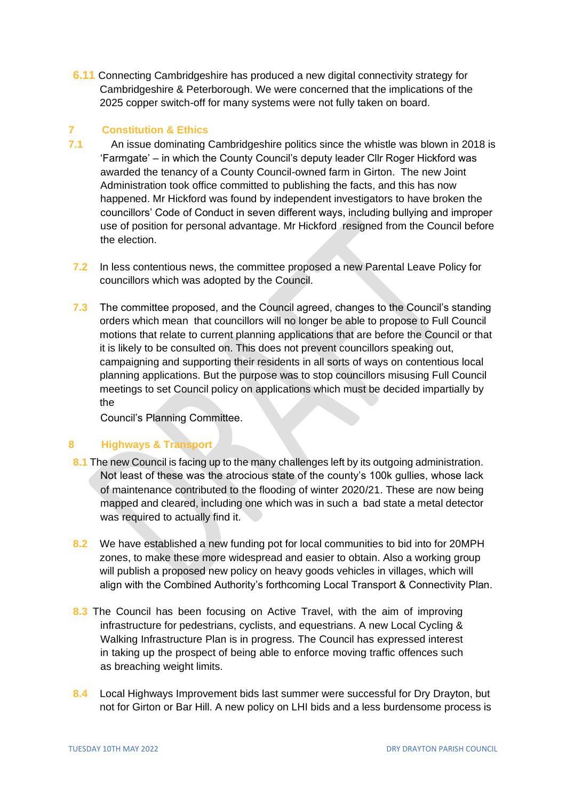**6.11** Connecting Cambridgeshire has produced a new digital connectivity strategy for Cambridgeshire & Peterborough. We were concerned that the implications of the 2025 copper switch-off for many systems were not fully taken on board.

## **7 Constitution & Ethics**

- **7.1** An issue dominating Cambridgeshire politics since the whistle was blown in 2018 is 'Farmgate' – in which the County Council's deputy leader Cllr Roger Hickford was awarded the tenancy of a County Council-owned farm in Girton. The new Joint Administration took office committed to publishing the facts, and this has now happened. Mr Hickford was found by independent investigators to have broken the councillors' Code of Conduct in seven different ways, including bullying and improper use of position for personal advantage. Mr Hickford resigned from the Council before the election.
- **7.2** In less contentious news, the committee proposed a new Parental Leave Policy for councillors which was adopted by the Council.
- **7.3** The committee proposed, and the Council agreed, changes to the Council's standing orders which mean that councillors will no longer be able to propose to Full Council motions that relate to current planning applications that are before the Council or that it is likely to be consulted on. This does not prevent councillors speaking out, campaigning and supporting their residents in all sorts of ways on contentious local planning applications. But the purpose was to stop councillors misusing Full Council meetings to set Council policy on applications which must be decided impartially by the

Council's Planning Committee.

## **8 Highways & Transport**

- 8.1 The new Council is facing up to the many challenges left by its outgoing administration. Not least of these was the atrocious state of the county's 100k gullies, whose lack of maintenance contributed to the flooding of winter 2020/21. These are now being mapped and cleared, including one which was in such a bad state a metal detector was required to actually find it.
- **8.2** We have established a new funding pot for local communities to bid into for 20MPH zones, to make these more widespread and easier to obtain. Also a working group will publish a proposed new policy on heavy goods vehicles in villages, which will align with the Combined Authority's forthcoming Local Transport & Connectivity Plan.
- **8.3** The Council has been focusing on Active Travel, with the aim of improving infrastructure for pedestrians, cyclists, and equestrians. A new Local Cycling & Walking Infrastructure Plan is in progress. The Council has expressed interest in taking up the prospect of being able to enforce moving traffic offences such as breaching weight limits.
- **8.4** Local Highways Improvement bids last summer were successful for Dry Drayton, but not for Girton or Bar Hill. A new policy on LHI bids and a less burdensome process is